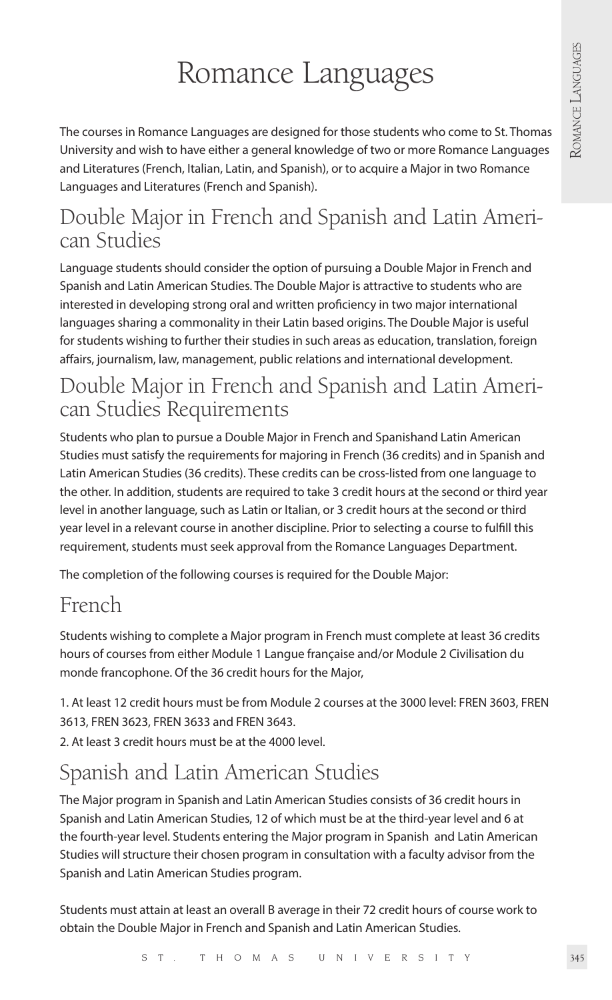## Romance Languages

The courses in Romance Languages are designed for those students who come to St. Thomas University and wish to have either a general knowledge of two or more Romance Languages and Literatures (French, Italian, Latin, and Spanish), or to acquire a Major in two Romance Languages and Literatures (French and Spanish).

# Double Major in French and Spanish and Latin Ameri- can Studies

Language students should consider the option of pursuing a Double Major in French and Spanish and Latin American Studies. The Double Major is attractive to students who are interested in developing strong oral and written proficiency in two major international languages sharing a commonality in their Latin based origins. The Double Major is useful for students wishing to further their studies in such areas as education, translation, foreign affairs, journalism, law, management, public relations and international development.

## Double Major in French and Spanish and Latin American Studies Requirements

Students who plan to pursue a Double Major in French and Spanishand Latin American Studies must satisfy the requirements for majoring in French (36 credits) and in Spanish and Latin American Studies (36 credits). These credits can be cross-listed from one language to the other. In addition, students are required to take 3 credit hours at the second or third year level in another language, such as Latin or Italian, or 3 credit hours at the second or third year level in a relevant course in another discipline. Prior to selecting a course to fulfill this requirement, students must seek approval from the Romance Languages Department.

The completion of the following courses is required for the Double Major:

## French

Students wishing to complete a Major program in French must complete at least 36 credits hours of courses from either Module 1 Langue française and/or Module 2 Civilisation du monde francophone. Of the 36 credit hours for the Major,

1. At least 12 credit hours must be from Module 2 courses at the 3000 level: FREN 3603, FREN 3613, FREN 3623, FREN 3633 and FREN 3643.

2. At least 3 credit hours must be at the 4000 level.

## Spanish and Latin American Studies

The Major program in Spanish and Latin American Studies consists of 36 credit hours in Spanish and Latin American Studies, 12 of which must be at the third-year level and 6 at the fourth-year level. Students entering the Major program in Spanish and Latin American Studies will structure their chosen program in consultation with a faculty advisor from the Spanish and Latin American Studies program.

Students must attain at least an overall B average in their 72 credit hours of course work to obtain the Double Major in French and Spanish and Latin American Studies.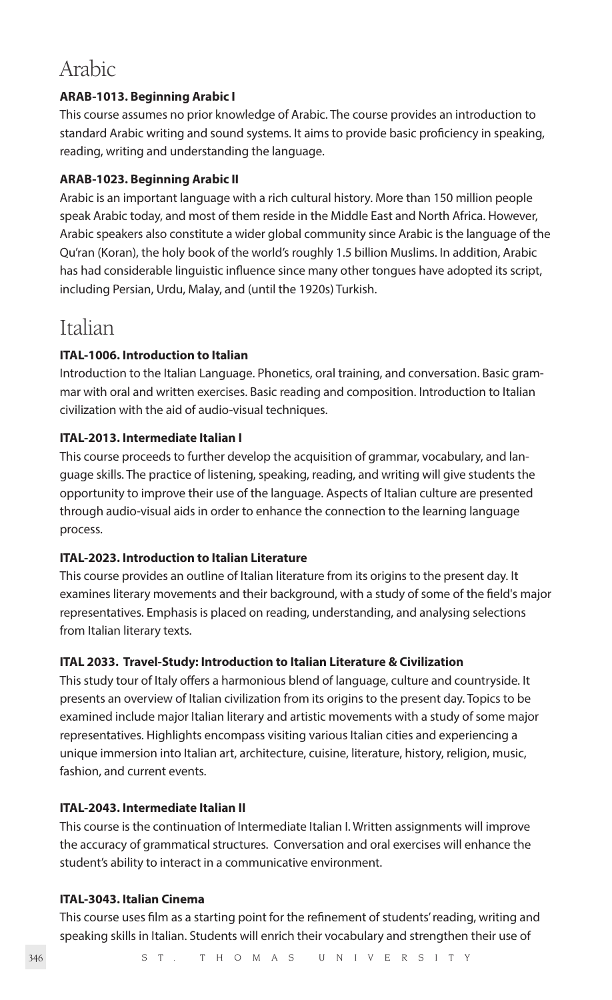## Arabic

#### **ARAB-1013. Beginning Arabic I**

This course assumes no prior knowledge of Arabic. The course provides an introduction to standard Arabic writing and sound systems. It aims to provide basic proficiency in speaking, reading, writing and understanding the language.

#### **ARAB-1023. Beginning Arabic II**

Arabic is an important language with a rich cultural history. More than 150 million people speak Arabic today, and most of them reside in the Middle East and North Africa. However, Arabic speakers also constitute a wider global community since Arabic is the language of the Qu'ran (Koran), the holy book of the world's roughly 1.5 billion Muslims. In addition, Arabic has had considerable linguistic influence since many other tongues have adopted its script, including Persian, Urdu, Malay, and (until the 1920s) Turkish.

### Italian

#### **ITAL-1006. Introduction to Italian**

Introduction to the Italian Language. Phonetics, oral training, and conversation. Basic grammar with oral and written exercises. Basic reading and composition. Introduction to Italian civilization with the aid of audio-visual techniques.

#### **ITAL-2013. Intermediate Italian I**

This course proceeds to further develop the acquisition of grammar, vocabulary, and language skills. The practice of listening, speaking, reading, and writing will give students the opportunity to improve their use of the language. Aspects of Italian culture are presented through audio-visual aids in order to enhance the connection to the learning language process.

#### **ITAL-2023. Introduction to Italian Literature**

This course provides an outline of Italian literature from its origins to the present day. It examines literary movements and their background, with a study of some of the field's major representatives. Emphasis is placed on reading, understanding, and analysing selections from Italian literary texts.

#### **ITAL 2033. Travel-Study: Introduction to Italian Literature & Civilization**

This study tour of Italy offers a harmonious blend of language, culture and countryside. It presents an overview of Italian civilization from its origins to the present day. Topics to be examined include major Italian literary and artistic movements with a study of some major representatives. Highlights encompass visiting various Italian cities and experiencing a unique immersion into Italian art, architecture, cuisine, literature, history, religion, music, fashion, and current events.

#### **ITAL-2043. Intermediate Italian II**

This course is the continuation of Intermediate Italian I. Written assignments will improve the accuracy of grammatical structures. Conversation and oral exercises will enhance the student's ability to interact in a communicative environment.

#### **ITAL-3043. Italian Cinema**

This course uses film as a starting point for the refinement of students' reading, writing and speaking skills in Italian. Students will enrich their vocabulary and strengthen their use of